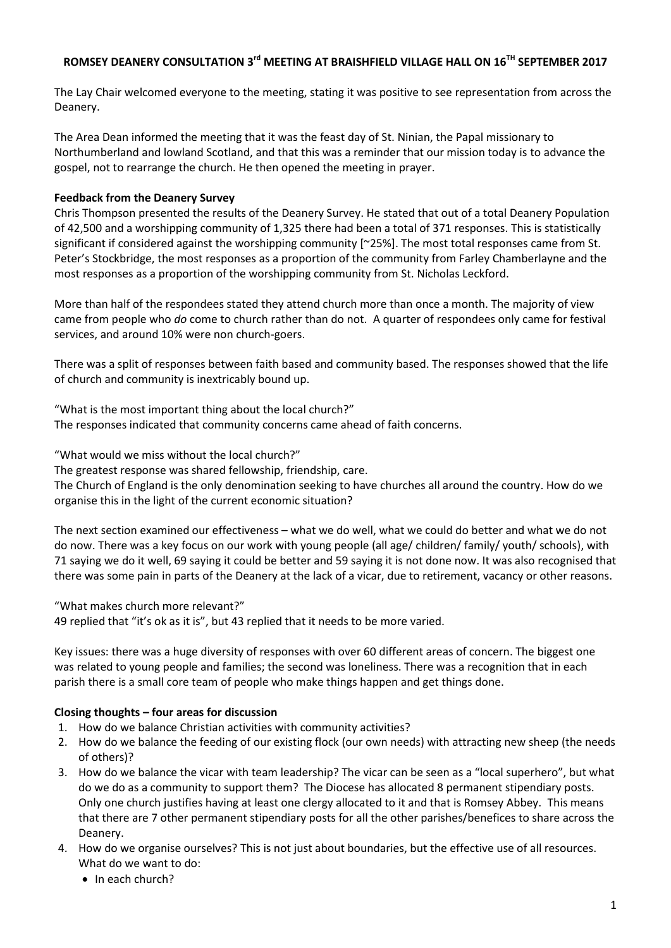# **ROMSEY DEANERY CONSULTATION 3 rd MEETING AT BRAISHFIELD VILLAGE HALL ON 16TH SEPTEMBER 2017**

The Lay Chair welcomed everyone to the meeting, stating it was positive to see representation from across the Deanery.

The Area Dean informed the meeting that it was the feast day of St. Ninian, the Papal missionary to Northumberland and lowland Scotland, and that this was a reminder that our mission today is to advance the gospel, not to rearrange the church. He then opened the meeting in prayer.

# **Feedback from the Deanery Survey**

Chris Thompson presented the results of the Deanery Survey. He stated that out of a total Deanery Population of 42,500 and a worshipping community of 1,325 there had been a total of 371 responses. This is statistically significant if considered against the worshipping community [~25%]. The most total responses came from St. Peter's Stockbridge, the most responses as a proportion of the community from Farley Chamberlayne and the most responses as a proportion of the worshipping community from St. Nicholas Leckford.

More than half of the respondees stated they attend church more than once a month. The majority of view came from people who *do* come to church rather than do not. A quarter of respondees only came for festival services, and around 10% were non church-goers.

There was a split of responses between faith based and community based. The responses showed that the life of church and community is inextricably bound up.

"What is the most important thing about the local church?" The responses indicated that community concerns came ahead of faith concerns.

"What would we miss without the local church?"

The greatest response was shared fellowship, friendship, care.

The Church of England is the only denomination seeking to have churches all around the country. How do we organise this in the light of the current economic situation?

The next section examined our effectiveness – what we do well, what we could do better and what we do not do now. There was a key focus on our work with young people (all age/ children/ family/ youth/ schools), with 71 saying we do it well, 69 saying it could be better and 59 saying it is not done now. It was also recognised that there was some pain in parts of the Deanery at the lack of a vicar, due to retirement, vacancy or other reasons.

"What makes church more relevant?"

49 replied that "it's ok as it is", but 43 replied that it needs to be more varied.

Key issues: there was a huge diversity of responses with over 60 different areas of concern. The biggest one was related to young people and families; the second was loneliness. There was a recognition that in each parish there is a small core team of people who make things happen and get things done.

## **Closing thoughts – four areas for discussion**

- 1. How do we balance Christian activities with community activities?
- 2. How do we balance the feeding of our existing flock (our own needs) with attracting new sheep (the needs of others)?
- 3. How do we balance the vicar with team leadership? The vicar can be seen as a "local superhero", but what do we do as a community to support them? The Diocese has allocated 8 permanent stipendiary posts. Only one church justifies having at least one clergy allocated to it and that is Romsey Abbey. This means that there are 7 other permanent stipendiary posts for all the other parishes/benefices to share across the Deanery.
- 4. How do we organise ourselves? This is not just about boundaries, but the effective use of all resources. What do we want to do:
	- $\bullet$  In each church?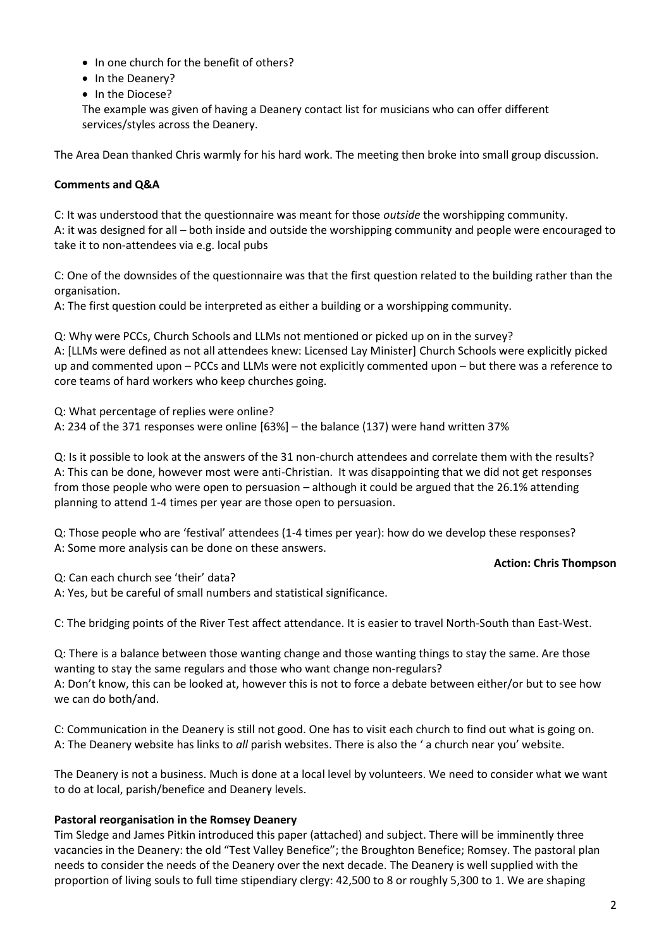- In one church for the benefit of others?
- In the Deanery?
- In the Diocese?

The example was given of having a Deanery contact list for musicians who can offer different services/styles across the Deanery.

The Area Dean thanked Chris warmly for his hard work. The meeting then broke into small group discussion.

# **Comments and Q&A**

C: It was understood that the questionnaire was meant for those *outside* the worshipping community. A: it was designed for all – both inside and outside the worshipping community and people were encouraged to take it to non-attendees via e.g. local pubs

C: One of the downsides of the questionnaire was that the first question related to the building rather than the organisation.

A: The first question could be interpreted as either a building or a worshipping community.

Q: Why were PCCs, Church Schools and LLMs not mentioned or picked up on in the survey? A: [LLMs were defined as not all attendees knew: Licensed Lay Minister] Church Schools were explicitly picked up and commented upon – PCCs and LLMs were not explicitly commented upon – but there was a reference to core teams of hard workers who keep churches going.

Q: What percentage of replies were online? A: 234 of the 371 responses were online [63%] – the balance (137) were hand written 37%

Q: Is it possible to look at the answers of the 31 non-church attendees and correlate them with the results? A: This can be done, however most were anti-Christian. It was disappointing that we did not get responses from those people who were open to persuasion – although it could be argued that the 26.1% attending planning to attend 1-4 times per year are those open to persuasion.

Q: Those people who are 'festival' attendees (1-4 times per year): how do we develop these responses? A: Some more analysis can be done on these answers.

## **Action: Chris Thompson**

Q: Can each church see 'their' data?

A: Yes, but be careful of small numbers and statistical significance.

C: The bridging points of the River Test affect attendance. It is easier to travel North-South than East-West.

Q: There is a balance between those wanting change and those wanting things to stay the same. Are those wanting to stay the same regulars and those who want change non-regulars? A: Don't know, this can be looked at, however this is not to force a debate between either/or but to see how we can do both/and.

C: Communication in the Deanery is still not good. One has to visit each church to find out what is going on. A: The Deanery website has links to *all* parish websites. There is also the ' a church near you' website.

The Deanery is not a business. Much is done at a local level by volunteers. We need to consider what we want to do at local, parish/benefice and Deanery levels.

## **Pastoral reorganisation in the Romsey Deanery**

Tim Sledge and James Pitkin introduced this paper (attached) and subject. There will be imminently three vacancies in the Deanery: the old "Test Valley Benefice"; the Broughton Benefice; Romsey. The pastoral plan needs to consider the needs of the Deanery over the next decade. The Deanery is well supplied with the proportion of living souls to full time stipendiary clergy: 42,500 to 8 or roughly 5,300 to 1. We are shaping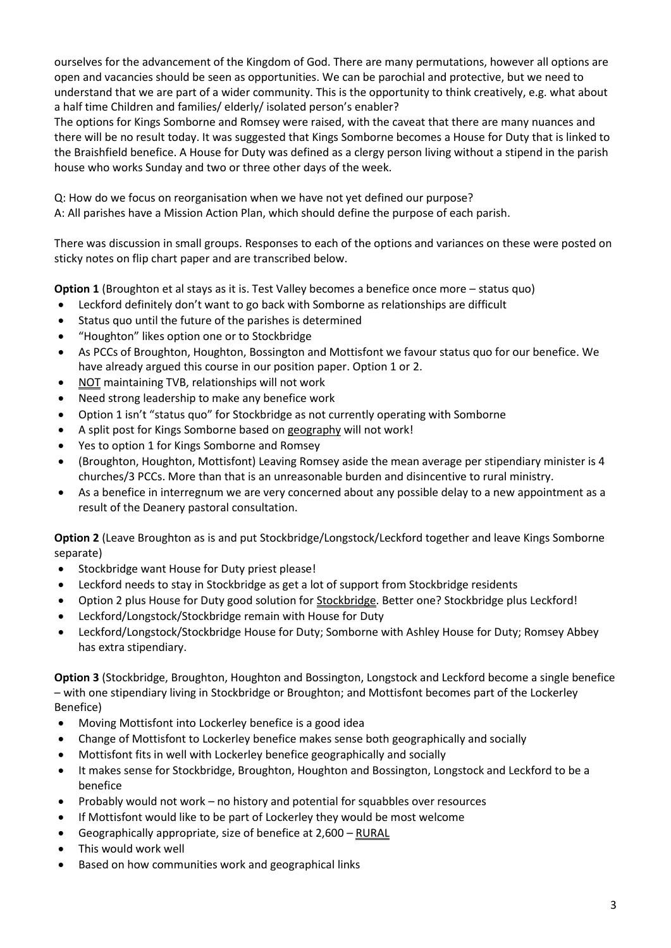ourselves for the advancement of the Kingdom of God. There are many permutations, however all options are open and vacancies should be seen as opportunities. We can be parochial and protective, but we need to understand that we are part of a wider community. This is the opportunity to think creatively, e.g. what about a half time Children and families/ elderly/ isolated person's enabler?

The options for Kings Somborne and Romsey were raised, with the caveat that there are many nuances and there will be no result today. It was suggested that Kings Somborne becomes a House for Duty that is linked to the Braishfield benefice. A House for Duty was defined as a clergy person living without a stipend in the parish house who works Sunday and two or three other days of the week.

Q: How do we focus on reorganisation when we have not yet defined our purpose? A: All parishes have a Mission Action Plan, which should define the purpose of each parish.

There was discussion in small groups. Responses to each of the options and variances on these were posted on sticky notes on flip chart paper and are transcribed below.

**Option 1** (Broughton et al stays as it is. Test Valley becomes a benefice once more – status quo)

- Leckford definitely don't want to go back with Somborne as relationships are difficult
- Status quo until the future of the parishes is determined
- "Houghton" likes option one or to Stockbridge
- As PCCs of Broughton, Houghton, Bossington and Mottisfont we favour status quo for our benefice. We have already argued this course in our position paper. Option 1 or 2.
- NOT maintaining TVB, relationships will not work
- Need strong leadership to make any benefice work
- Option 1 isn't "status quo" for Stockbridge as not currently operating with Somborne
- A split post for Kings Somborne based on geography will not work!
- Yes to option 1 for Kings Somborne and Romsey
- (Broughton, Houghton, Mottisfont) Leaving Romsey aside the mean average per stipendiary minister is 4 churches/3 PCCs. More than that is an unreasonable burden and disincentive to rural ministry.
- As a benefice in interregnum we are very concerned about any possible delay to a new appointment as a result of the Deanery pastoral consultation.

**Option 2** (Leave Broughton as is and put Stockbridge/Longstock/Leckford together and leave Kings Somborne separate)

- Stockbridge want House for Duty priest please!
- Leckford needs to stay in Stockbridge as get a lot of support from Stockbridge residents
- Option 2 plus House for Duty good solution for Stockbridge. Better one? Stockbridge plus Leckford!
- Leckford/Longstock/Stockbridge remain with House for Duty
- Leckford/Longstock/Stockbridge House for Duty; Somborne with Ashley House for Duty; Romsey Abbey has extra stipendiary.

**Option 3** (Stockbridge, Broughton, Houghton and Bossington, Longstock and Leckford become a single benefice – with one stipendiary living in Stockbridge or Broughton; and Mottisfont becomes part of the Lockerley Benefice)

- Moving Mottisfont into Lockerley benefice is a good idea
- Change of Mottisfont to Lockerley benefice makes sense both geographically and socially
- Mottisfont fits in well with Lockerley benefice geographically and socially
- It makes sense for Stockbridge, Broughton, Houghton and Bossington, Longstock and Leckford to be a benefice
- Probably would not work no history and potential for squabbles over resources
- If Mottisfont would like to be part of Lockerley they would be most welcome
- Geographically appropriate, size of benefice at 2,600 RURAL
- This would work well
- Based on how communities work and geographical links